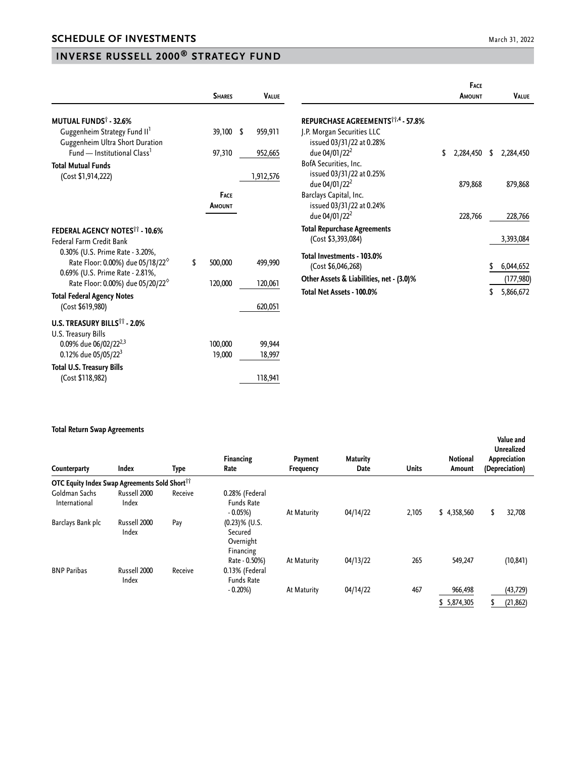## **INVERSE RUSSELL 2000® STRATEGY FUND**

|                                                                                 | <b>SHARES</b> | <b>VALUE</b> |                                                        | <b>FACE</b><br><b>AMOUNT</b> |    | <b>VALUE</b> |
|---------------------------------------------------------------------------------|---------------|--------------|--------------------------------------------------------|------------------------------|----|--------------|
| <b>MUTUAL FUNDS<sup>†</sup> - 32.6%</b>                                         |               |              | REPURCHASE AGREEMENTS <sup>11,4</sup> - 57.8%          |                              |    |              |
| Guggenheim Strategy Fund II <sup>1</sup><br>Guggenheim Ultra Short Duration     | 39,100 \$     | 959,911      | J.P. Morgan Securities LLC<br>issued 03/31/22 at 0.28% |                              |    |              |
| Fund — Institutional Class <sup>1</sup>                                         | 97,310        | 952,665      | due 04/01/22 <sup>2</sup>                              | \$<br>2,284,450              | \$ | 2,284,450    |
| <b>Total Mutual Funds</b>                                                       |               |              | BofA Securities, Inc.                                  |                              |    |              |
| (Cost \$1,914,222)                                                              |               | 1,912,576    | issued 03/31/22 at 0.25%<br>due 04/01/22 <sup>2</sup>  | 879,868                      |    | 879,868      |
|                                                                                 | <b>FACE</b>   |              | Barclays Capital, Inc.                                 |                              |    |              |
|                                                                                 | <b>AMOUNT</b> |              | issued 03/31/22 at 0.24%<br>due 04/01/22 <sup>2</sup>  | 228,766                      |    | 228,766      |
| FEDERAL AGENCY NOTES <sup>11</sup> - 10.6%                                      |               |              | <b>Total Repurchase Agreements</b>                     |                              |    |              |
| Federal Farm Credit Bank                                                        |               |              | (Cost \$3,393,084)                                     |                              |    | 3,393,084    |
| 0.30% (U.S. Prime Rate - 3.20%,<br>Rate Floor: 0.00%) due 05/18/22 <sup>6</sup> | \$<br>500,000 | 499,990      | Total Investments - 103.0%<br>(Cost \$6,046,268)       |                              | S  | 6,044,652    |
| 0.69% (U.S. Prime Rate - 2.81%,<br>Rate Floor: 0.00%) due 05/20/22 <sup>6</sup> | 120,000       | 120,061      | Other Assets & Liabilities, net - (3.0)%               |                              |    | (177, 980)   |
| <b>Total Federal Agency Notes</b>                                               |               |              | Total Net Assets - 100.0%                              |                              | \$ | 5,866,672    |
| (Cost \$619,980)                                                                |               | 620,051      |                                                        |                              |    |              |
| U.S. TREASURY BILLS <sup>11</sup> - 2.0%<br>U.S. Treasury Bills                 |               |              |                                                        |                              |    |              |
| 0.09% due 06/02/22 <sup>2,3</sup>                                               | 100,000       | 99,944       |                                                        |                              |    |              |
| 0.12% due 05/05/22 <sup>3</sup>                                                 | 19,000        | 18,997       |                                                        |                              |    |              |
| <b>Total U.S. Treasury Bills</b>                                                |               |              |                                                        |                              |    |              |
| (Cost \$118,982)                                                                |               | 118,941      |                                                        |                              |    |              |

## **Total Return Swap Agreements**

| Counterparty                                              | <b>Index</b>          | Type    | <b>Financing</b><br>Rate                              | Payment<br>Frequency | <b>Maturity</b><br>Date | <b>Units</b> | <b>Notional</b><br>Amount | Value and<br>Unrealized<br>Appreciation<br>(Depreciation) |  |
|-----------------------------------------------------------|-----------------------|---------|-------------------------------------------------------|----------------------|-------------------------|--------------|---------------------------|-----------------------------------------------------------|--|
| OTC Equity Index Swap Agreements Sold Short <sup>11</sup> |                       |         |                                                       |                      |                         |              |                           |                                                           |  |
| Goldman Sachs<br>International                            | Russell 2000<br>Index | Receive | 0.28% (Federal<br><b>Funds Rate</b><br>$-0.05%$       | At Maturity          | 04/14/22                | 2,105        | \$4,358,560               | 32,708<br>\$                                              |  |
| Barclays Bank plc                                         | Russell 2000<br>Index | Pay     | $(0.23)$ % (U.S.<br>Secured<br>Overnight<br>Financing |                      |                         |              |                           |                                                           |  |
| <b>BNP Paribas</b>                                        | Russell 2000          | Receive | Rate - 0.50%)<br>0.13% (Federal                       | At Maturity          | 04/13/22                | 265          | 549,247                   | (10, 841)                                                 |  |
|                                                           | Index                 |         | <b>Funds Rate</b><br>$-0.20%$                         | At Maturity          | 04/14/22                | 467          | 966,498<br>\$5,874,305    | (43, 729)<br>(21, 862)<br>S                               |  |